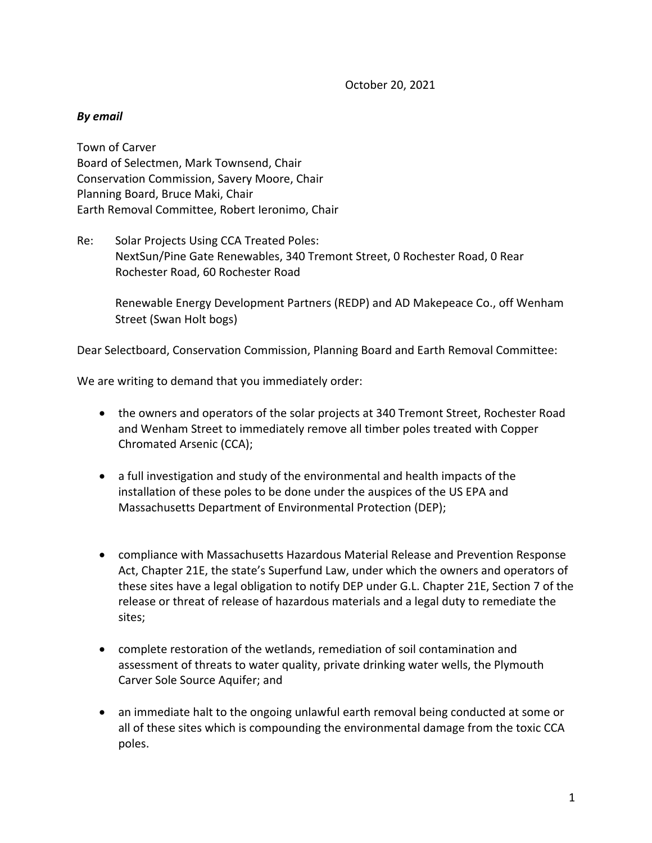October 20, 2021

## *By email*

Town of Carver Board of Selectmen, Mark Townsend, Chair Conservation Commission, Savery Moore, Chair Planning Board, Bruce Maki, Chair Earth Removal Committee, Robert Ieronimo, Chair

Re: Solar Projects Using CCA Treated Poles: NextSun/Pine Gate Renewables, 340 Tremont Street, 0 Rochester Road, 0 Rear Rochester Road, 60 Rochester Road

Renewable Energy Development Partners (REDP) and AD Makepeace Co., off Wenham Street (Swan Holt bogs)

Dear Selectboard, Conservation Commission, Planning Board and Earth Removal Committee:

We are writing to demand that you immediately order:

- the owners and operators of the solar projects at 340 Tremont Street, Rochester Road and Wenham Street to immediately remove all timber poles treated with Copper Chromated Arsenic (CCA);
- a full investigation and study of the environmental and health impacts of the installation of these poles to be done under the auspices of the US EPA and Massachusetts Department of Environmental Protection (DEP);
- compliance with Massachusetts Hazardous Material Release and Prevention Response Act, Chapter 21E, the state's Superfund Law, under which the owners and operators of these sites have a legal obligation to notify DEP under G.L. Chapter 21E, Section 7 of the release or threat of release of hazardous materials and a legal duty to remediate the sites;
- complete restoration of the wetlands, remediation of soil contamination and assessment of threats to water quality, private drinking water wells, the Plymouth Carver Sole Source Aquifer; and
- an immediate halt to the ongoing unlawful earth removal being conducted at some or all of these sites which is compounding the environmental damage from the toxic CCA poles.